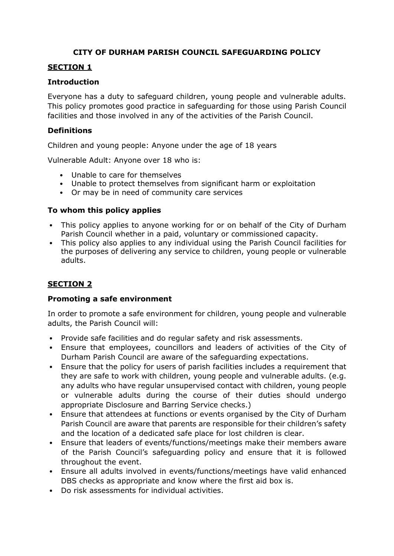## **CITY OF DURHAM PARISH COUNCIL SAFEGUARDING POLICY**

### **SECTION 1**

#### **Introduction**

Everyone has a duty to safeguard children, young people and vulnerable adults. This policy promotes good practice in safeguarding for those using Parish Council facilities and those involved in any of the activities of the Parish Council.

#### **Definitions**

Children and young people: Anyone under the age of 18 years

Vulnerable Adult: Anyone over 18 who is:

- Unable to care for themselves
- Unable to protect themselves from significant harm or exploitation
- Or may be in need of community care services

#### **To whom this policy applies**

- This policy applies to anyone working for or on behalf of the City of Durham Parish Council whether in a paid, voluntary or commissioned capacity.
- This policy also applies to any individual using the Parish Council facilities for the purposes of delivering any service to children, young people or vulnerable adults.

## **SECTION 2**

#### **Promoting a safe environment**

In order to promote a safe environment for children, young people and vulnerable adults, the Parish Council will:

- Provide safe facilities and do regular safety and risk assessments.
- Ensure that employees, councillors and leaders of activities of the City of Durham Parish Council are aware of the safeguarding expectations.
- Ensure that the policy for users of parish facilities includes a requirement that they are safe to work with children, young people and vulnerable adults. (e.g. any adults who have regular unsupervised contact with children, young people or vulnerable adults during the course of their duties should undergo appropriate Disclosure and Barring Service checks.)
- Ensure that attendees at functions or events organised by the City of Durham Parish Council are aware that parents are responsible for their children's safety and the location of a dedicated safe place for lost children is clear.
- Ensure that leaders of events/functions/meetings make their members aware of the Parish Council's safeguarding policy and ensure that it is followed throughout the event.
- Ensure all adults involved in events/functions/meetings have valid enhanced DBS checks as appropriate and know where the first aid box is.
- Do risk assessments for individual activities.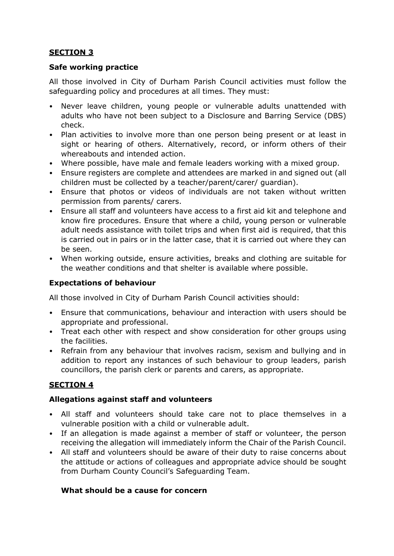# **SECTION 3**

### **Safe working practice**

All those involved in City of Durham Parish Council activities must follow the safeguarding policy and procedures at all times. They must:

- Never leave children, young people or vulnerable adults unattended with adults who have not been subject to a Disclosure and Barring Service (DBS) check.
- Plan activities to involve more than one person being present or at least in sight or hearing of others. Alternatively, record, or inform others of their whereabouts and intended action.
- Where possible, have male and female leaders working with a mixed group.
- Ensure registers are complete and attendees are marked in and signed out (all children must be collected by a teacher/parent/carer/ guardian).
- Ensure that photos or videos of individuals are not taken without written permission from parents/ carers.
- Ensure all staff and volunteers have access to a first aid kit and telephone and know fire procedures. Ensure that where a child, young person or vulnerable adult needs assistance with toilet trips and when first aid is required, that this is carried out in pairs or in the latter case, that it is carried out where they can be seen.
- When working outside, ensure activities, breaks and clothing are suitable for the weather conditions and that shelter is available where possible.

### **Expectations of behaviour**

All those involved in City of Durham Parish Council activities should:

- Ensure that communications, behaviour and interaction with users should be appropriate and professional.
- Treat each other with respect and show consideration for other groups using the facilities.
- Refrain from any behaviour that involves racism, sexism and bullying and in addition to report any instances of such behaviour to group leaders, parish councillors, the parish clerk or parents and carers, as appropriate.

## **SECTION 4**

### **Allegations against staff and volunteers**

- All staff and volunteers should take care not to place themselves in a vulnerable position with a child or vulnerable adult.
- If an allegation is made against a member of staff or volunteer, the person receiving the allegation will immediately inform the Chair of the Parish Council.
- All staff and volunteers should be aware of their duty to raise concerns about the attitude or actions of colleagues and appropriate advice should be sought from Durham County Council's Safeguarding Team.

### **What should be a cause for concern**